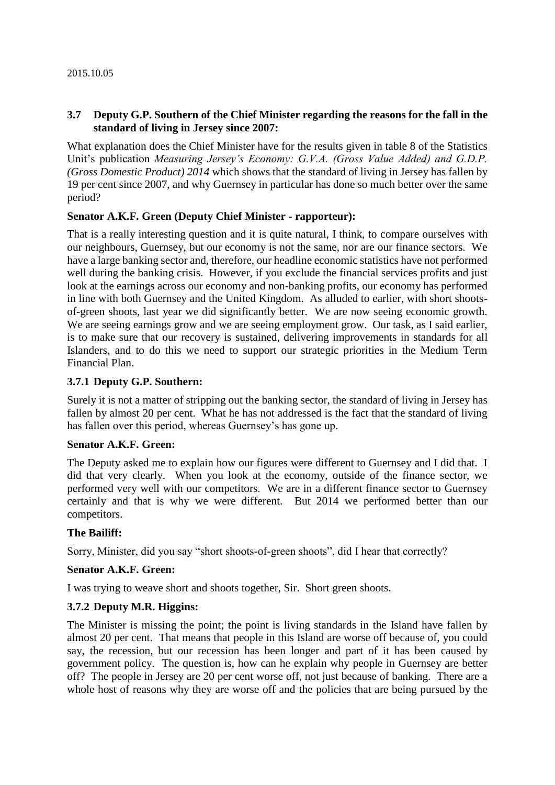#### **3.7 Deputy G.P. Southern of the Chief Minister regarding the reasons for the fall in the standard of living in Jersey since 2007:**

What explanation does the Chief Minister have for the results given in table 8 of the Statistics Unit's publication *Measuring Jersey's Economy: G.V.A. (Gross Value Added) and G.D.P. (Gross Domestic Product) 2014* which shows that the standard of living in Jersey has fallen by 19 per cent since 2007, and why Guernsey in particular has done so much better over the same period?

#### **Senator A.K.F. Green (Deputy Chief Minister - rapporteur):**

That is a really interesting question and it is quite natural, I think, to compare ourselves with our neighbours, Guernsey, but our economy is not the same, nor are our finance sectors. We have a large banking sector and, therefore, our headline economic statistics have not performed well during the banking crisis. However, if you exclude the financial services profits and just look at the earnings across our economy and non-banking profits, our economy has performed in line with both Guernsey and the United Kingdom. As alluded to earlier, with short shootsof-green shoots, last year we did significantly better. We are now seeing economic growth. We are seeing earnings grow and we are seeing employment grow. Our task, as I said earlier, is to make sure that our recovery is sustained, delivering improvements in standards for all Islanders, and to do this we need to support our strategic priorities in the Medium Term Financial Plan.

#### **3.7.1 Deputy G.P. Southern:**

Surely it is not a matter of stripping out the banking sector, the standard of living in Jersey has fallen by almost 20 per cent. What he has not addressed is the fact that the standard of living has fallen over this period, whereas Guernsey's has gone up.

#### **Senator A.K.F. Green:**

The Deputy asked me to explain how our figures were different to Guernsey and I did that. I did that very clearly. When you look at the economy, outside of the finance sector, we performed very well with our competitors. We are in a different finance sector to Guernsey certainly and that is why we were different. But 2014 we performed better than our competitors.

#### **The Bailiff:**

Sorry, Minister, did you say "short shoots-of-green shoots", did I hear that correctly?

#### **Senator A.K.F. Green:**

I was trying to weave short and shoots together, Sir. Short green shoots.

#### **3.7.2 Deputy M.R. Higgins:**

The Minister is missing the point; the point is living standards in the Island have fallen by almost 20 per cent. That means that people in this Island are worse off because of, you could say, the recession, but our recession has been longer and part of it has been caused by government policy. The question is, how can he explain why people in Guernsey are better off? The people in Jersey are 20 per cent worse off, not just because of banking. There are a whole host of reasons why they are worse off and the policies that are being pursued by the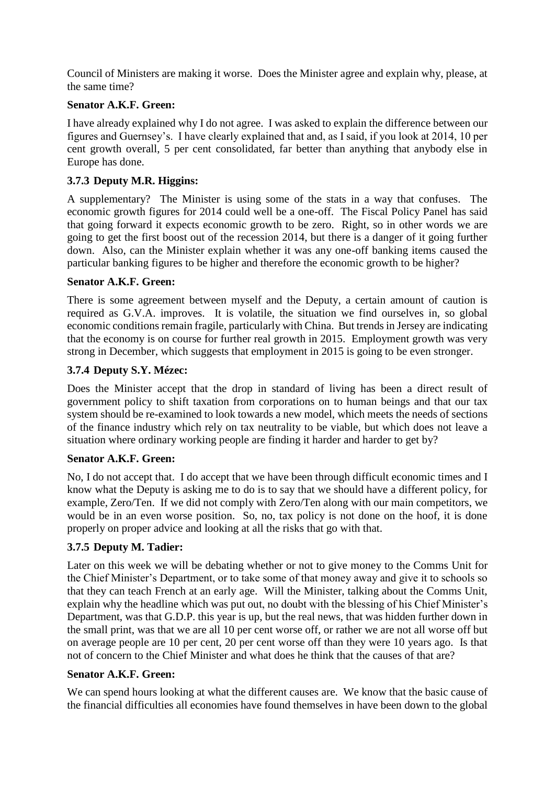Council of Ministers are making it worse. Does the Minister agree and explain why, please, at the same time?

### **Senator A.K.F. Green:**

I have already explained why I do not agree. I was asked to explain the difference between our figures and Guernsey's. I have clearly explained that and, as I said, if you look at 2014, 10 per cent growth overall, 5 per cent consolidated, far better than anything that anybody else in Europe has done.

## **3.7.3 Deputy M.R. Higgins:**

A supplementary? The Minister is using some of the stats in a way that confuses. The economic growth figures for 2014 could well be a one-off. The Fiscal Policy Panel has said that going forward it expects economic growth to be zero. Right, so in other words we are going to get the first boost out of the recession 2014, but there is a danger of it going further down. Also, can the Minister explain whether it was any one-off banking items caused the particular banking figures to be higher and therefore the economic growth to be higher?

### **Senator A.K.F. Green:**

There is some agreement between myself and the Deputy, a certain amount of caution is required as G.V.A. improves. It is volatile, the situation we find ourselves in, so global economic conditions remain fragile, particularly with China. But trends in Jersey are indicating that the economy is on course for further real growth in 2015. Employment growth was very strong in December, which suggests that employment in 2015 is going to be even stronger.

## **3.7.4 Deputy S.Y. Mézec:**

Does the Minister accept that the drop in standard of living has been a direct result of government policy to shift taxation from corporations on to human beings and that our tax system should be re-examined to look towards a new model, which meets the needs of sections of the finance industry which rely on tax neutrality to be viable, but which does not leave a situation where ordinary working people are finding it harder and harder to get by?

### **Senator A.K.F. Green:**

No, I do not accept that. I do accept that we have been through difficult economic times and I know what the Deputy is asking me to do is to say that we should have a different policy, for example, Zero/Ten. If we did not comply with Zero/Ten along with our main competitors, we would be in an even worse position. So, no, tax policy is not done on the hoof, it is done properly on proper advice and looking at all the risks that go with that.

### **3.7.5 Deputy M. Tadier:**

Later on this week we will be debating whether or not to give money to the Comms Unit for the Chief Minister's Department, or to take some of that money away and give it to schools so that they can teach French at an early age. Will the Minister, talking about the Comms Unit, explain why the headline which was put out, no doubt with the blessing of his Chief Minister's Department, was that G.D.P. this year is up, but the real news, that was hidden further down in the small print, was that we are all 10 per cent worse off, or rather we are not all worse off but on average people are 10 per cent, 20 per cent worse off than they were 10 years ago. Is that not of concern to the Chief Minister and what does he think that the causes of that are?

### **Senator A.K.F. Green:**

We can spend hours looking at what the different causes are. We know that the basic cause of the financial difficulties all economies have found themselves in have been down to the global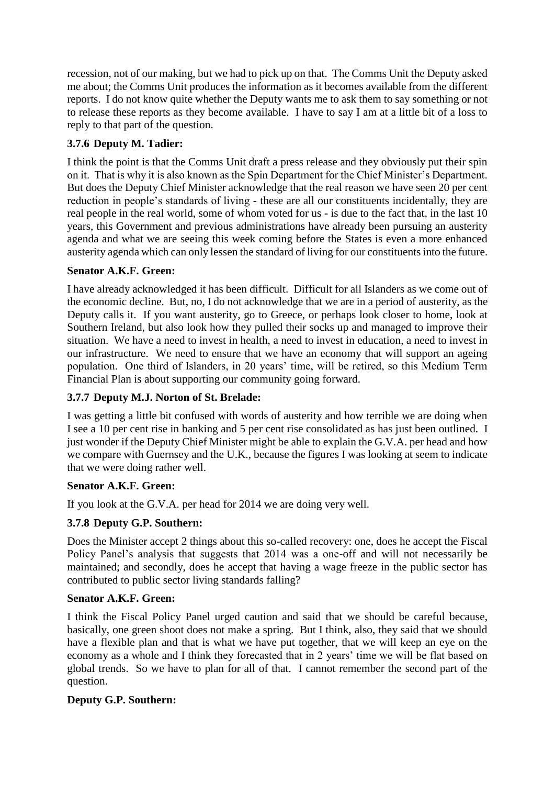recession, not of our making, but we had to pick up on that. The Comms Unit the Deputy asked me about; the Comms Unit produces the information as it becomes available from the different reports. I do not know quite whether the Deputy wants me to ask them to say something or not to release these reports as they become available. I have to say I am at a little bit of a loss to reply to that part of the question.

# **3.7.6 Deputy M. Tadier:**

I think the point is that the Comms Unit draft a press release and they obviously put their spin on it. That is why it is also known as the Spin Department for the Chief Minister's Department. But does the Deputy Chief Minister acknowledge that the real reason we have seen 20 per cent reduction in people's standards of living - these are all our constituents incidentally, they are real people in the real world, some of whom voted for us - is due to the fact that, in the last 10 years, this Government and previous administrations have already been pursuing an austerity agenda and what we are seeing this week coming before the States is even a more enhanced austerity agenda which can only lessen the standard of living for our constituents into the future.

## **Senator A.K.F. Green:**

I have already acknowledged it has been difficult. Difficult for all Islanders as we come out of the economic decline. But, no, I do not acknowledge that we are in a period of austerity, as the Deputy calls it. If you want austerity, go to Greece, or perhaps look closer to home, look at Southern Ireland, but also look how they pulled their socks up and managed to improve their situation. We have a need to invest in health, a need to invest in education, a need to invest in our infrastructure. We need to ensure that we have an economy that will support an ageing population. One third of Islanders, in 20 years' time, will be retired, so this Medium Term Financial Plan is about supporting our community going forward.

# **3.7.7 Deputy M.J. Norton of St. Brelade:**

I was getting a little bit confused with words of austerity and how terrible we are doing when I see a 10 per cent rise in banking and 5 per cent rise consolidated as has just been outlined. I just wonder if the Deputy Chief Minister might be able to explain the G.V.A. per head and how we compare with Guernsey and the U.K., because the figures I was looking at seem to indicate that we were doing rather well.

### **Senator A.K.F. Green:**

If you look at the G.V.A. per head for 2014 we are doing very well.

# **3.7.8 Deputy G.P. Southern:**

Does the Minister accept 2 things about this so-called recovery: one, does he accept the Fiscal Policy Panel's analysis that suggests that 2014 was a one-off and will not necessarily be maintained; and secondly, does he accept that having a wage freeze in the public sector has contributed to public sector living standards falling?

### **Senator A.K.F. Green:**

I think the Fiscal Policy Panel urged caution and said that we should be careful because, basically, one green shoot does not make a spring. But I think, also, they said that we should have a flexible plan and that is what we have put together, that we will keep an eye on the economy as a whole and I think they forecasted that in 2 years' time we will be flat based on global trends. So we have to plan for all of that. I cannot remember the second part of the question.

### **Deputy G.P. Southern:**